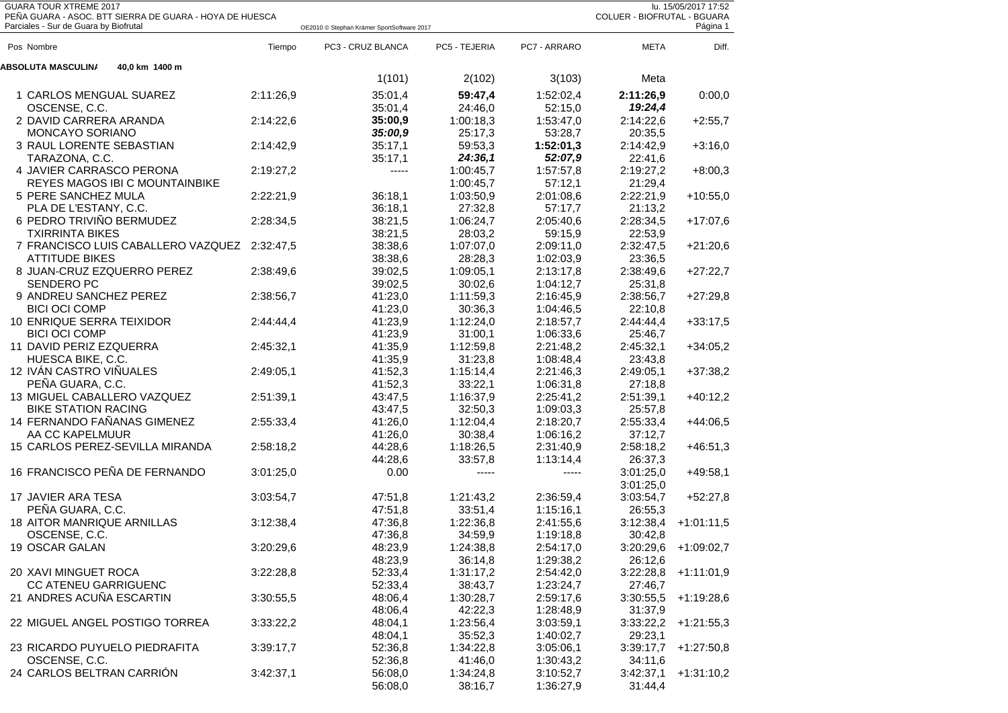| <b>GUARA TOUR XTREME 2017</b><br>lu. 15/05/2017 17:52<br>PEÑA GUARA - ASOC. BTT SIERRA DE GUARA - HOYA DE HUESCA<br>COLUER - BIOFRUTAL - BGUARA<br>Parciales - Sur de Guara by Biofrutal<br>Página 1<br>OE2010 © Stephan Krämer SportSoftware 2017 |           |                   |               |              |             |                        |  |  |
|----------------------------------------------------------------------------------------------------------------------------------------------------------------------------------------------------------------------------------------------------|-----------|-------------------|---------------|--------------|-------------|------------------------|--|--|
| Pos Nombre                                                                                                                                                                                                                                         | Tiempo    | PC3 - CRUZ BLANCA | PC5 - TEJERIA | PC7 - ARRARO | <b>META</b> | Diff.                  |  |  |
| <b>ABSOLUTA MASCULINA</b><br>40,0 km 1400 m                                                                                                                                                                                                        |           |                   |               |              |             |                        |  |  |
|                                                                                                                                                                                                                                                    |           | 1(101)            | 2(102)        | 3(103)       | Meta        |                        |  |  |
| 1 CARLOS MENGUAL SUAREZ                                                                                                                                                                                                                            | 2:11:26,9 | 35:01,4           | 59:47,4       | 1:52:02,4    | 2:11:26,9   | 0:00,0                 |  |  |
| OSCENSE, C.C.                                                                                                                                                                                                                                      |           | 35:01,4           | 24:46,0       | 52:15,0      | 19:24,4     |                        |  |  |
| 2 DAVID CARRERA ARANDA                                                                                                                                                                                                                             | 2:14:22,6 | 35:00,9           | 1:00:18,3     | 1:53:47,0    | 2:14:22,6   | $+2:55,7$              |  |  |
| <b>MONCAYO SORIANO</b>                                                                                                                                                                                                                             |           | 35:00,9           | 25:17,3       | 53:28,7      | 20:35,5     |                        |  |  |
| 3 RAUL LORENTE SEBASTIAN                                                                                                                                                                                                                           | 2:14:42,9 | 35:17,1           | 59:53,3       | 1:52:01,3    | 2:14:42,9   | $+3:16,0$              |  |  |
| TARAZONA, C.C.                                                                                                                                                                                                                                     |           | 35:17,1           | 24:36,1       | 52:07,9      | 22:41,6     |                        |  |  |
| 4 JAVIER CARRASCO PERONA                                                                                                                                                                                                                           | 2:19:27,2 | $-----$           | 1:00:45,7     | 1:57:57,8    | 2:19:27,2   | $+8:00,3$              |  |  |
| REYES MAGOS IBI C MOUNTAINBIKE                                                                                                                                                                                                                     |           |                   | 1:00:45,7     | 57:12,1      | 21:29,4     |                        |  |  |
| 5 PERE SANCHEZ MULA                                                                                                                                                                                                                                | 2:22:21,9 | 36:18.1           | 1:03:50,9     | 2:01:08.6    | 2:22:21,9   | $+10:55,0$             |  |  |
| PLA DE L'ESTANY, C.C.                                                                                                                                                                                                                              |           | 36:18,1           | 27:32,8       | 57:17,7      | 21:13,2     |                        |  |  |
| 6 PEDRO TRIVIÑO BERMUDEZ                                                                                                                                                                                                                           | 2:28:34,5 | 38:21,5           | 1:06:24,7     | 2:05:40,6    | 2:28:34,5   | $+17:07,6$             |  |  |
| <b>TXIRRINTA BIKES</b>                                                                                                                                                                                                                             |           | 38:21,5           | 28:03,2       | 59:15,9      | 22:53,9     |                        |  |  |
| 7 FRANCISCO LUIS CABALLERO VAZQUEZ                                                                                                                                                                                                                 | 2:32:47,5 | 38:38,6           | 1:07:07.0     | 2:09:11.0    | 2:32:47,5   | $+21:20,6$             |  |  |
| <b>ATTITUDE BIKES</b>                                                                                                                                                                                                                              |           | 38:38,6           | 28:28,3       | 1:02:03,9    | 23:36,5     |                        |  |  |
| 8 JUAN-CRUZ EZQUERRO PEREZ                                                                                                                                                                                                                         | 2:38:49,6 | 39:02,5           | 1:09:05,1     | 2:13:17,8    | 2:38:49,6   | $+27:22,7$             |  |  |
| <b>SENDERO PC</b>                                                                                                                                                                                                                                  |           | 39:02,5           | 30:02.6       | 1:04:12,7    | 25:31,8     |                        |  |  |
| 9 ANDREU SANCHEZ PEREZ                                                                                                                                                                                                                             | 2:38:56,7 | 41:23,0           | 1:11:59,3     | 2:16:45,9    | 2:38:56,7   | $+27:29,8$             |  |  |
| <b>BICI OCI COMP</b>                                                                                                                                                                                                                               |           | 41:23,0           | 30:36,3       | 1:04:46,5    | 22:10,8     |                        |  |  |
| 10 ENRIQUE SERRA TEIXIDOR                                                                                                                                                                                                                          | 2:44:44,4 | 41:23,9           | 1:12:24,0     | 2:18:57,7    | 2:44:44,4   | $+33:17,5$             |  |  |
| <b>BICI OCI COMP</b>                                                                                                                                                                                                                               |           | 41:23,9           | 31:00,1       | 1:06:33,6    | 25:46.7     |                        |  |  |
| 11 DAVID PERIZ EZQUERRA                                                                                                                                                                                                                            | 2:45:32,1 | 41:35,9           | 1:12:59,8     | 2:21:48,2    | 2:45:32,1   | $+34:05,2$             |  |  |
| HUESCA BIKE, C.C.                                                                                                                                                                                                                                  |           | 41:35,9           | 31:23,8       | 1:08:48,4    | 23:43,8     |                        |  |  |
| 12 IVAN CASTRO VIÑUALES                                                                                                                                                                                                                            | 2:49:05,1 | 41:52,3           | 1:15:14,4     | 2:21:46,3    | 2:49:05,1   | $+37:38,2$             |  |  |
| PEÑA GUARA, C.C.                                                                                                                                                                                                                                   |           | 41:52,3           | 33:22.1       | 1:06:31,8    | 27:18.8     |                        |  |  |
| 13 MIGUEL CABALLERO VAZQUEZ                                                                                                                                                                                                                        | 2:51:39,1 | 43:47,5           | 1:16:37,9     | 2:25:41,2    | 2:51:39,1   | $+40:12,2$             |  |  |
| <b>BIKE STATION RACING</b>                                                                                                                                                                                                                         |           | 43:47,5           | 32:50,3       | 1:09:03,3    | 25:57,8     |                        |  |  |
| 14 FERNANDO FAÑANAS GIMENEZ                                                                                                                                                                                                                        | 2:55:33,4 | 41:26,0           | 1:12:04,4     | 2:18:20,7    | 2:55:33,4   | $+44:06,5$             |  |  |
| AA CC KAPELMUUR                                                                                                                                                                                                                                    |           | 41:26,0           | 30:38,4       | 1:06:16,2    | 37:12,7     |                        |  |  |
| 15 CARLOS PEREZ-SEVILLA MIRANDA                                                                                                                                                                                                                    | 2:58:18,2 | 44:28,6           | 1:18:26,5     | 2:31:40,9    | 2:58:18,2   | $+46:51,3$             |  |  |
|                                                                                                                                                                                                                                                    |           | 44:28,6           | 33:57,8       | 1:13:14,4    | 26:37,3     |                        |  |  |
| 16 FRANCISCO PEÑA DE FERNANDO                                                                                                                                                                                                                      | 3:01:25,0 | 0.00              | -----         | -----        | 3:01:25,0   | $+49:58,1$             |  |  |
|                                                                                                                                                                                                                                                    |           |                   |               |              | 3:01:25.0   |                        |  |  |
| 17 JAVIER ARA TESA                                                                                                                                                                                                                                 | 3:03:54,7 | 47:51,8           | 1:21:43,2     | 2:36:59,4    | 3:03:54,7   | $+52:27,8$             |  |  |
| PEÑA GUARA, C.C.                                                                                                                                                                                                                                   |           | 47:51,8           | 33:51,4       | 1:15:16,1    | 26:55,3     |                        |  |  |
| <b>18 AITOR MANRIQUE ARNILLAS</b>                                                                                                                                                                                                                  | 3:12:38,4 | 47:36,8           | 1:22:36,8     | 2:41:55,6    | 3:12:38,4   | $+1:01:11,5$           |  |  |
| OSCENSE, C.C.                                                                                                                                                                                                                                      |           | 47:36,8           | 34:59,9       | 1:19:18,8    | 30:42,8     |                        |  |  |
| 19 OSCAR GALAN                                                                                                                                                                                                                                     | 3:20:29,6 | 48:23,9           | 1:24:38,8     | 2:54:17,0    |             | $3:20:29,6$ +1:09:02,7 |  |  |
|                                                                                                                                                                                                                                                    |           | 48:23,9           | 36:14,8       | 1:29:38,2    | 26:12,6     |                        |  |  |
| 20 XAVI MINGUET ROCA                                                                                                                                                                                                                               | 3:22:28,8 | 52:33,4           | 1:31:17,2     | 2:54:42,0    | 3:22:28,8   | $+1:11:01,9$           |  |  |
| <b>CC ATENEU GARRIGUENC</b>                                                                                                                                                                                                                        |           | 52:33,4           | 38:43,7       | 1:23:24,7    | 27:46,7     |                        |  |  |
| 21 ANDRES ACUÑA ESCARTIN                                                                                                                                                                                                                           | 3:30:55,5 | 48:06,4           | 1:30:28,7     | 2:59:17,6    | 3:30:55,5   | $+1:19:28,6$           |  |  |
|                                                                                                                                                                                                                                                    |           | 48:06,4           | 42:22,3       | 1:28:48,9    | 31:37,9     |                        |  |  |
| 22 MIGUEL ANGEL POSTIGO TORREA                                                                                                                                                                                                                     | 3:33:22,2 | 48:04,1           | 1:23:56,4     | 3:03:59,1    | 3:33:22,2   | $+1:21:55,3$           |  |  |
|                                                                                                                                                                                                                                                    |           | 48:04,1           | 35:52,3       | 1:40:02.7    | 29:23,1     |                        |  |  |
| 23 RICARDO PUYUELO PIEDRAFITA                                                                                                                                                                                                                      | 3:39:17,7 | 52:36,8           | 1:34:22,8     | 3:05:06,1    | 3:39:17,7   | $+1:27:50,8$           |  |  |
| OSCENSE, C.C.                                                                                                                                                                                                                                      |           | 52:36,8           | 41:46,0       | 1:30:43,2    | 34:11,6     |                        |  |  |
| 24 CARLOS BELTRAN CARRIÓN                                                                                                                                                                                                                          | 3:42:37,1 | 56:08,0           | 1:34:24,8     | 3:10:52,7    | 3:42:37,1   | $+1:31:10,2$           |  |  |
|                                                                                                                                                                                                                                                    |           | 56:08,0           | 38:16,7       | 1:36:27,9    | 31:44,4     |                        |  |  |
|                                                                                                                                                                                                                                                    |           |                   |               |              |             |                        |  |  |